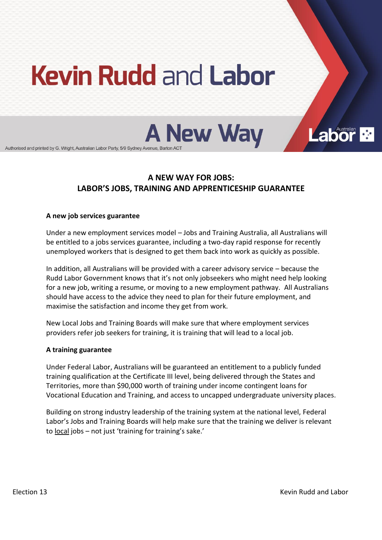# **Kevin Rudd and Labor**



Authorised and printed by G. Wright, Australian Labor Party, 5/9 Sydney Avenue, Barton ACT

# **A!NEW!WAY!FOR!JOBS:! LABOR'S JOBS, TRAINING AND APPRENTICESHIP GUARANTEE**

#### **A!new!job!services!guarantee**

Under a new employment services model – Jobs and Training Australia, all Australians will be entitled to a jobs services guarantee, including a two-day rapid response for recently unemployed workers that is designed to get them back into work as quickly as possible.

In addition, all Australians will be provided with a career advisory service – because the Rudd Labor Government knows that it's not only jobseekers who might need help looking for a new job, writing a resume, or moving to a new employment pathway. All Australians should have access to the advice they need to plan for their future employment, and maximise the satisfaction and income they get from work.

New Local Jobs and Training Boards will make sure that where employment services providers refer job seekers for training, it is training that will lead to a local job.

#### **A!training!guarantee**

Under Federal Labor, Australians will be guaranteed an entitlement to a publicly funded training qualification at the Certificate III level, being delivered through the States and Territories, more than \$90,000 worth of training under income contingent loans for Vocational Education and Training, and access to uncapped undergraduate university places.

Building on strong industry leadership of the training system at the national level, Federal Labor's Jobs and Training Boards will help make sure that the training we deliver is relevant to local jobs - not just 'training for training's sake.'

**Labor**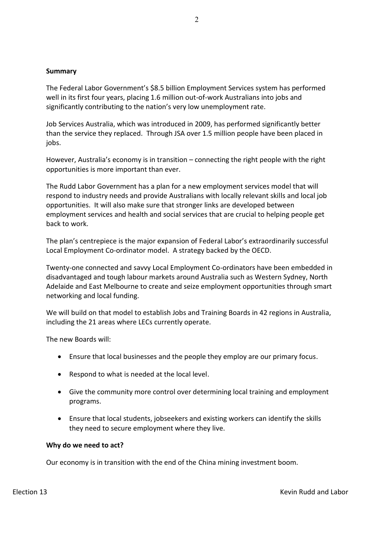#### **Summary**

The Federal Labor Government's \$8.5 billion Employment Services system has performed well in its first four years, placing 1.6 million out-of-work Australians into jobs and significantly contributing to the nation's very low unemployment rate.

Job Services Australia, which was introduced in 2009, has performed significantly better than the service they replaced. Through JSA over 1.5 million people have been placed in jobs.

However, Australia's economy is in transition – connecting the right people with the right opportunities is more important than ever.

The Rudd Labor Government has a plan for a new employment services model that will respond to industry needs and provide Australians with locally relevant skills and local job opportunities. It will also make sure that stronger links are developed between employment services and health and social services that are crucial to helping people get back to work.

The plan's centrepiece is the major expansion of Federal Labor's extraordinarily successful Local Employment Co-ordinator model. A strategy backed by the OECD.

Twenty-one connected and savvy Local Employment Co-ordinators have been embedded in disadvantaged and tough labour markets around Australia such as Western Sydney, North Adelaide and East Melbourne to create and seize employment opportunities through smart networking and local funding.

We will build on that model to establish Jobs and Training Boards in 42 regions in Australia, including the 21 areas where LECs currently operate.

The new Boards will:

- **Ensure that local businesses and the people they employ are our primary focus.**
- $\bullet$  Respond to what is needed at the local level.
- Give the community more control over determining local training and employment programs.
- **•** Ensure that local students, jobseekers and existing workers can identify the skills they need to secure employment where they live.

#### Why do we need to act?

Our economy is in transition with the end of the China mining investment boom.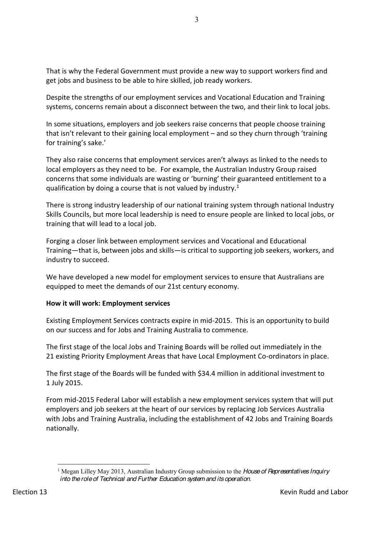That is why the Federal Government must provide a new way to support workers find and get jobs and business to be able to hire skilled, job ready workers.

Despite the strengths of our employment services and Vocational Education and Training systems, concerns remain about a disconnect between the two, and their link to local jobs.

In some situations, employers and job seekers raise concerns that people choose training that isn't relevant to their gaining local employment – and so they churn through 'training for training's sake.'

They also raise concerns that employment services aren't always as linked to the needs to local employers as they need to be. For example, the Australian Industry Group raised concerns that some individuals are wasting or 'burning' their guaranteed entitlement to a qualification by doing a course that is not valued by industry.<sup>1</sup>

There is strong industry leadership of our national training system through national Industry Skills Councils, but more local leadership is need to ensure people are linked to local jobs, or training that will lead to a local job.

Forging a closer link between employment services and Vocational and Educational Training – that is, between jobs and skills – is critical to supporting job seekers, workers, and industry to succeed.

We have developed a new model for employment services to ensure that Australians are equipped to meet the demands of our 21st century economy.

# **How it will work: Employment services**

Existing Employment Services contracts expire in mid-2015. This is an opportunity to build on our success and for Jobs and Training Australia to commence.

The first stage of the local Jobs and Training Boards will be rolled out immediately in the 21 existing Priority Employment Areas that have Local Employment Co-ordinators in place.

The first stage of the Boards will be funded with \$34.4 million in additional investment to 1 July)2015.)

From mid-2015 Federal Labor will establish a new employment services system that will put employers and job seekers at the heart of our services by replacing Job Services Australia with Jobs and Training Australia, including the establishment of 42 Jobs and Training Boards nationally.)

 <sup>1</sup> Megan Lilley May 2013, Australian Industry Group submission to the *House of Representatives Inquiry into the role of Technical and Further Education system and its operation*.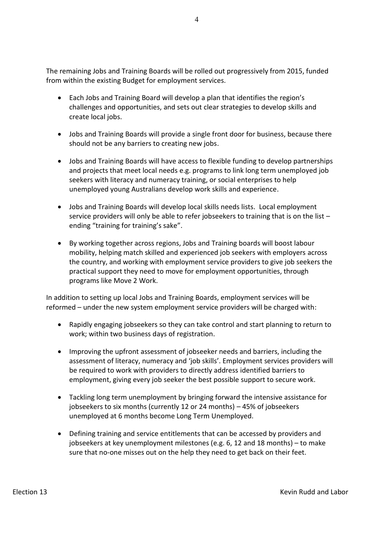The remaining Jobs and Training Boards will be rolled out progressively from 2015, funded from within the existing Budget for employment services.

- Each Jobs and Training Board will develop a plan that identifies the region's challenges and opportunities, and sets out clear strategies to develop skills and create local jobs.
- Jobs and Training Boards will provide a single front door for business, because there should not be any barriers to creating new jobs.
- Jobs and Training Boards will have access to flexible funding to develop partnerships and projects that meet local needs e.g. programs to link long term unemployed job seekers with literacy and numeracy training, or social enterprises to help unemployed young Australians develop work skills and experience.
- Jobs and Training Boards will develop local skills needs lists. Local employment service providers will only be able to refer jobseekers to training that is on the list  $$ ending "training for training's sake".
- By working together across regions, Jobs and Training boards will boost labour mobility, helping match skilled and experienced job seekers with employers across the country, and working with employment service providers to give job seekers the practical support they need to move for employment opportunities, through programs like Move 2 Work.

In addition to setting up local Jobs and Training Boards, employment services will be reformed - under the new system employment service providers will be charged with:

- Rapidly engaging jobseekers so they can take control and start planning to return to work; within two business days of registration.
- Improving the upfront assessment of jobseeker needs and barriers, including the assessment of literacy, numeracy and 'job skills'. Employment services providers will be required to work with providers to directly address identified barriers to employment, giving every job seeker the best possible support to secure work.
- $\bullet$  Tackling long term unemployment by bringing forward the intensive assistance for jobseekers to six months (currently 12 or 24 months)  $-$  45% of jobseekers unemployed at 6 months become Long Term Unemployed.
- Defining training and service entitlements that can be accessed by providers and jobseekers at key unemployment milestones (e.g. 6, 12 and 18 months) – to make sure that no-one misses out on the help they need to get back on their feet.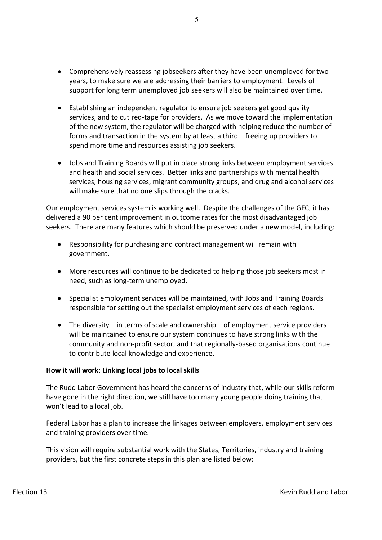- Comprehensively reassessing jobseekers after they have been unemployed for two years, to make sure we are addressing their barriers to employment. Levels of support for long term unemployed job seekers will also be maintained over time.
- Establishing an independent regulator to ensure job seekers get good quality services, and to cut red-tape for providers. As we move toward the implementation of the new system, the regulator will be charged with helping reduce the number of forms and transaction in the system by at least a third  $-$  freeing up providers to spend more time and resources assisting job seekers.
- Jobs and Training Boards will put in place strong links between employment services and health and social services. Better links and partnerships with mental health services, housing services, migrant community groups, and drug and alcohol services will make sure that no one slips through the cracks.

Our employment services system is working well. Despite the challenges of the GFC, it has delivered a 90 per cent improvement in outcome rates for the most disadvantaged job seekers. There are many features which should be preserved under a new model, including:

- Responsibility for purchasing and contract management will remain with government.
- More resources will continue to be dedicated to helping those job seekers most in need, such as long-term unemployed.
- Specialist employment services will be maintained, with Jobs and Training Boards responsible for setting out the specialist employment services of each regions.
- The diversity in terms of scale and ownership of employment service providers will) be maintained to ensure our system continues to have strong links with the community and non-profit sector, and that regionally-based organisations continue to contribute local knowledge and experience.

#### How it will work: Linking local jobs to local skills

The Rudd Labor Government has heard the concerns of industry that, while our skills reform have gone in the right direction, we still have too many young people doing training that won't lead to a local job.

Federal Labor has a plan to increase the linkages between employers, employment services and training providers over time.

This vision will require substantial work with the States, Territories, industry and training providers, but the first concrete steps in this plan are listed below: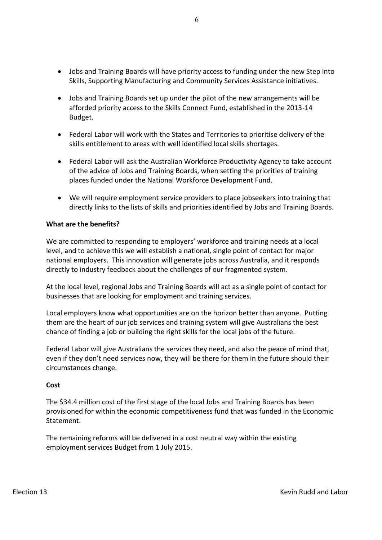- Jobs and Training Boards will have priority access to funding under the new Step into Skills, Supporting Manufacturing and Community Services Assistance initiatives.
- Jobs and Training Boards set up under the pilot of the new arrangements will be afforded priority access to the Skills Connect Fund, established in the 2013-14 Budget.
- Federal Labor will work with the States and Territories to prioritise delivery of the skills entitlement to areas with well identified local skills shortages.
- Federal Labor will ask the Australian Workforce Productivity Agency to take account of the advice of Jobs and Training Boards, when setting the priorities of training places funded under the National Workforce Development Fund.
- We will require employment service providers to place jobseekers into training that directly links to the lists of skills and priorities identified by Jobs and Training Boards.

## **What are the benefits?**

We are committed to responding to employers' workforce and training needs at a local level, and to achieve this we will establish a national, single point of contact for major national employers. This innovation will generate jobs across Australia, and it responds directly to industry feedback about the challenges of our fragmented system.

At the local level, regional Jobs and Training Boards will act as a single point of contact for businesses that are looking for employment and training services.

Local employers know what opportunities are on the horizon better than anyone. Putting them are the heart of our job services and training system will give Australians the best chance of finding a job or building the right skills for the local jobs of the future.

Federal Labor will give Australians the services they need, and also the peace of mind that, even if they don't need services now, they will be there for them in the future should their circumstances change.

#### **Cost**

The \$34.4 million cost of the first stage of the local Jobs and Training Boards has been provisioned for within the economic competitiveness fund that was funded in the Economic Statement.

The remaining reforms will be delivered in a cost neutral way within the existing employment services Budget from 1 July 2015.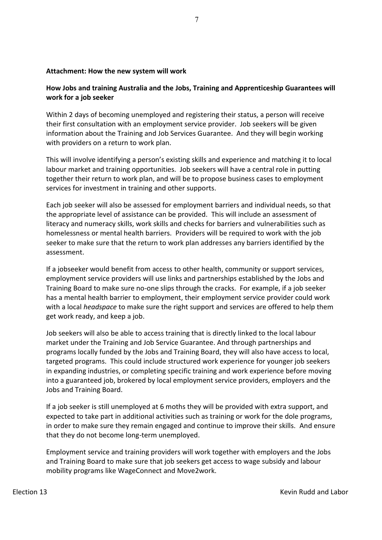#### Attachment: How the new system will work

# **How!Jobs!and!training!Australia!and!the!Jobs,!Training!and!Apprenticeship Guarantees will! work!for!a!job!seeker**

Within 2 days of becoming unemployed and registering their status, a person will receive their first consultation with an employment service provider. Job seekers will be given information about the Training and Job Services Guarantee. And they will begin working with providers on a return to work plan.

This will involve identifying a person's existing skills and experience and matching it to local labour market and training opportunities. Job seekers will have a central role in putting together their return to work plan, and will be to propose business cases to employment services for investment in training and other supports.

Each job seeker will also be assessed for employment barriers and individual needs, so that the appropriate level of assistance can be provided. This will include an assessment of literacy and numeracy skills, work skills and checks for barriers and vulnerabilities such as homelessness or mental health barriers. Providers will be required to work with the job seeker to make sure that the return to work plan addresses any barriers identified by the assessment.

If a jobseeker would benefit from access to other health, community or support services, employment service providers will use links and partnerships established by the Jobs and Training Board to make sure no-one slips through the cracks. For example, if a job seeker has a mental health barrier to employment, their employment service provider could work with a local *headspace* to make sure the right support and services are offered to help them get work ready, and keep a job.

Job seekers will also be able to access training that is directly linked to the local labour market under the Training and Job Service Guarantee. And through partnerships and programs locally funded by the Jobs and Training Board, they will also have access to local, targeted programs. This could include structured work experience for younger job seekers in expanding industries, or completing specific training and work experience before moving into a guaranteed job, brokered by local employment service providers, employers and the Jobs and Training Board.

If a job seeker is still unemployed at 6 moths they will be provided with extra support, and expected to take part in additional activities such as training or work for the dole programs, in)order to make sure they remain engaged and continue to improve their skills. And ensure that they do not become long-term unemployed.

Employment service and training providers will work together with employers and the Jobs and Training Board to make sure that job seekers get access to wage subsidy and labour mobility programs like WageConnect and Move2work.